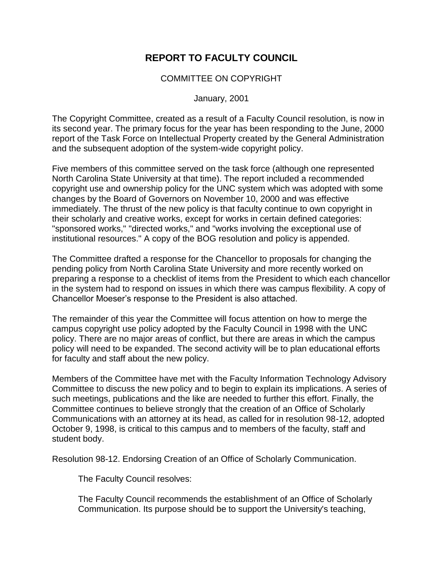## **REPORT TO FACULTY COUNCIL**

## COMMITTEE ON COPYRIGHT

January, 2001

The Copyright Committee, created as a result of a Faculty Council resolution, is now in its second year. The primary focus for the year has been responding to the June, 2000 report of the Task Force on Intellectual Property created by the General Administration and the subsequent adoption of the system-wide copyright policy.

Five members of this committee served on the task force (although one represented North Carolina State University at that time). The report included a recommended copyright use and ownership policy for the UNC system which was adopted with some changes by the Board of Governors on November 10, 2000 and was effective immediately. The thrust of the new policy is that faculty continue to own copyright in their scholarly and creative works, except for works in certain defined categories: "sponsored works," "directed works," and "works involving the exceptional use of institutional resources." A copy of the BOG resolution and policy is appended.

The Committee drafted a response for the Chancellor to proposals for changing the pending policy from North Carolina State University and more recently worked on preparing a response to a checklist of items from the President to which each chancellor in the system had to respond on issues in which there was campus flexibility. A copy of Chancellor Moeser's response to the President is also attached.

The remainder of this year the Committee will focus attention on how to merge the campus copyright use policy adopted by the Faculty Council in 1998 with the UNC policy. There are no major areas of conflict, but there are areas in which the campus policy will need to be expanded. The second activity will be to plan educational efforts for faculty and staff about the new policy.

Members of the Committee have met with the Faculty Information Technology Advisory Committee to discuss the new policy and to begin to explain its implications. A series of such meetings, publications and the like are needed to further this effort. Finally, the Committee continues to believe strongly that the creation of an Office of Scholarly Communications with an attorney at its head, as called for in resolution 98-12, adopted October 9, 1998, is critical to this campus and to members of the faculty, staff and student body.

Resolution 98-12. Endorsing Creation of an Office of Scholarly Communication.

The Faculty Council resolves:

The Faculty Council recommends the establishment of an Office of Scholarly Communication. Its purpose should be to support the University's teaching,